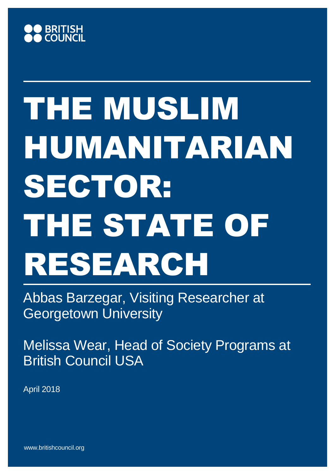

Abbas Barzegar, Visiting Researcher at Georgetown University

Melissa Wear, Head of Society Programs at British Council USA

April 2018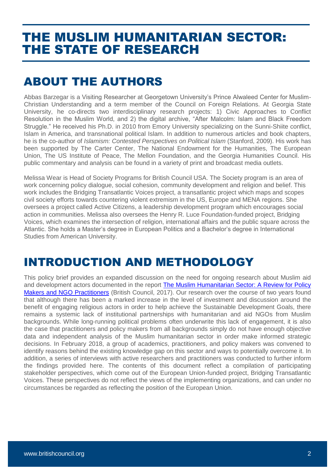#### ABOUT THE AUTHORS

Abbas Barzegar is a Visiting Researcher at Georgetown University's Prince Alwaleed Center for Muslim-Christian Understanding and a term member of the Council on Foreign Relations. At Georgia State University, he co-directs two interdisciplinary research projects: 1) Civic Approaches to Conflict Resolution in the Muslim World, and 2) the digital archive, "After Malcolm: Islam and Black Freedom Struggle." He received his Ph.D. in 2010 from Emory University specializing on the Sunni-Shiite conflict, Islam in America, and transnational political Islam. In addition to numerous articles and book chapters, he is the co-author of *Islamism: Contested Perspectives on Political Islam* (Stanford, 2009). His work has been supported by The Carter Center, The National Endowment for the Humanities, The European Union, The US Institute of Peace, The Mellon Foundation, and the Georgia Humanities Council. His public commentary and analysis can be found in a variety of print and broadcast media outlets.

Melissa Wear is Head of Society Programs for British Council USA. The Society program is an area of work concerning policy dialogue, social cohesion, community development and religion and belief. This work includes the Bridging Transatlantic Voices project, a transatlantic project which maps and scopes civil society efforts towards countering violent extremism in the US, Europe and MENA regions. She oversees a project called Active Citizens, a leadership development program which encourages social action in communities. Melissa also oversees the Henry R. Luce Foundation-funded project, Bridging Voices, which examines the intersection of religion, international affairs and the public square across the Atlantic. She holds a Master's degree in European Politics and a Bachelor's degree in International Studies from American University.

#### INTRODUCTION AND METHODOLOGY

This policy brief provides an expanded discussion on the need for ongoing research about Muslim aid and development actors documented in the report The Muslim Humanitarian Sector: A Review for Policy [Makers and NGO Practitioners](https://www.britishcouncil.us/sites/default/files/final_report_-_the_muslim_humanitarian_sector.pdf) (British Council, 2017). Our research over the course of two years found that although there has been a marked increase in the level of investment and discussion around the benefit of engaging religious actors in order to help achieve the Sustainable Development Goals, there remains a systemic lack of institutional partnerships with humanitarian and aid NGOs from Muslim backgrounds. While long-running political problems often underwrite this lack of engagement, it is also the case that practitioners and policy makers from all backgrounds simply do not have enough objective data and independent analysis of the Muslim humanitarian sector in order make informed strategic decisions. In February 2018, a group of academics, practitioners, and policy makers was convened to identify reasons behind the existing knowledge gap on this sector and ways to potentially overcome it. In addition, a series of interviews with active researchers and practitioners was conducted to further inform the findings provided here. The contents of this document reflect a compilation of participating stakeholder perspectives, which come out of the European Union-funded project, Bridging Transatlantic Voices. These perspectives do not reflect the views of the implementing organizations, and can under no circumstances be regarded as reflecting the position of the European Union.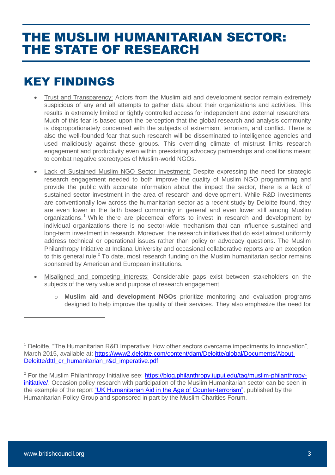## KEY FINDINGS

- Trust and Transparency: Actors from the Muslim aid and development sector remain extremely suspicious of any and all attempts to gather data about their organizations and activities. This results in extremely limited or tightly controlled access for independent and external researchers. Much of this fear is based upon the perception that the global research and analysis community is disproportionately concerned with the subjects of extremism, terrorism, and conflict. There is also the well-founded fear that such research will be disseminated to intelligence agencies and used maliciously against these groups. This overriding climate of mistrust limits research engagement and productivity even within preexisting advocacy partnerships and coalitions meant to combat negative stereotypes of Muslim-world NGOs.
- Lack of Sustained Muslim NGO Sector Investment: Despite expressing the need for strategic research engagement needed to both improve the quality of Muslim NGO programming and provide the public with accurate information about the impact the sector, there is a lack of sustained sector investment in the area of research and development. While R&D investments are conventionally low across the humanitarian sector as a recent study by Deloitte found, they are even lower in the faith based community in general and even lower still among Muslim organizations.<sup>1</sup> While there are piecemeal efforts to invest in research and development by individual organizations there is no sector-wide mechanism that can influence sustained and long-term investment in research. Moreover, the research initiatives that do exist almost uniformly address technical or operational issues rather than policy or advocacy questions. The Muslim Philanthropy Initiative at Indiana University and occasional collaborative reports are an exception to this general rule.<sup>2</sup> To date, most research funding on the Muslim humanitarian sector remains sponsored by American and European institutions.
- Misaligned and competing interests: Considerable gaps exist between stakeholders on the subjects of the very value and purpose of research engagement.
	- o **Muslim aid and development NGOs** prioritize monitoring and evaluation programs designed to help improve the quality of their services. They also emphasize the need for

 $2$  For the Muslim Philanthropy Initiative see: [https://blog.philanthropy.iupui.edu/tag/muslim-philanthropy](https://blog.philanthropy.iupui.edu/tag/muslim-philanthropy-initiative/)[initiative/.](https://blog.philanthropy.iupui.edu/tag/muslim-philanthropy-initiative/) Occasion policy research with participation of the Muslim Humanitarian sector can be seen in the example of the report ["UK Humanitarian Aid in the Age of Counter-terrorism",](https://www.alnap.org/system/files/content/resource/files/main/137-odi-report.pdf) published by the Humanitarian Policy Group and sponsored in part by the Muslim Charities Forum.

 $\overline{a}$ 

<sup>&</sup>lt;sup>1</sup> Deloitte, "The Humanitarian R&D Imperative: How other sectors overcame impediments to innovation", March 2015, available at: [https://www2.deloitte.com/content/dam/Deloitte/global/Documents/About-](https://www2.deloitte.com/content/dam/Deloitte/global/Documents/About-Deloitte/dttl_cr_humanitarian_r&d_imperative.pdf)[Deloitte/dttl\\_cr\\_humanitarian\\_r&d\\_imperative.pdf](https://www2.deloitte.com/content/dam/Deloitte/global/Documents/About-Deloitte/dttl_cr_humanitarian_r&d_imperative.pdf)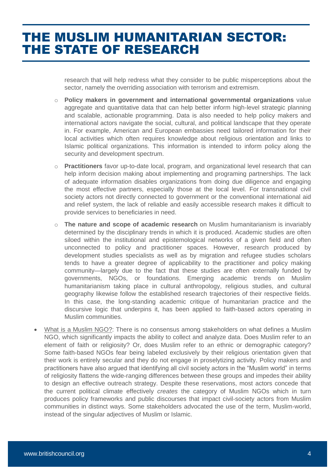research that will help redress what they consider to be public misperceptions about the sector, namely the overriding association with terrorism and extremism.

- o **Policy makers in government and international governmental organizations** value aggregate and quantitative data that can help better inform high-level strategic planning and scalable, actionable programming. Data is also needed to help policy makers and international actors navigate the social, cultural, and political landscape that they operate in. For example, American and European embassies need tailored information for their local activities which often requires knowledge about religious orientation and links to Islamic political organizations. This information is intended to inform policy along the security and development spectrum.
- o **Practitioners** favor up-to-date local, program, and organizational level research that can help inform decision making about implementing and programing partnerships. The lack of adequate information disables organizations from doing due diligence and engaging the most effective partners, especially those at the local level. For transnational civil society actors not directly connected to government or the conventional international aid and relief system, the lack of reliable and easily accessible research makes it difficult to provide services to beneficiaries in need.
- o **The nature and scope of academic research** on Muslim humanitarianism is invariably determined by the disciplinary trends in which it is produced. Academic studies are often siloed within the institutional and epistemological networks of a given field and often unconnected to policy and practitioner spaces. However, research produced by development studies specialists as well as by migration and refugee studies scholars tends to have a greater degree of applicability to the practitioner and policy making community—largely due to the fact that these studies are often externally funded by governments, NGOs, or foundations. Emerging academic trends on Muslim humanitarianism taking place in cultural anthropology, religious studies, and cultural geography likewise follow the established research trajectories of their respective fields. In this case, the long-standing academic critique of humanitarian practice and the discursive logic that underpins it, has been applied to faith-based actors operating in Muslim communities.
- What is a Muslim NGO?: There is no consensus among stakeholders on what defines a Muslim NGO, which significantly impacts the ability to collect and analyze data. Does Muslim refer to an element of faith or religiosity? Or, does Muslim refer to an ethnic or demographic category? Some faith-based NGOs fear being labeled exclusively by their religious orientation given that their work is entirely secular and they do not engage in proselytizing activity. Policy makers and practitioners have also argued that identifying all civil society actors in the "Muslim world" in terms of religiosity flattens the wide-ranging differences between these groups and impedes their ability to design an effective outreach strategy. Despite these reservations, most actors concede that the current political climate effectively *creates* the category of Muslim NGOs which in turn produces policy frameworks and public discourses that impact civil-society actors from Muslim communities in distinct ways. Some stakeholders advocated the use of the term, Muslim-world, instead of the singular adjectives of Muslim or Islamic.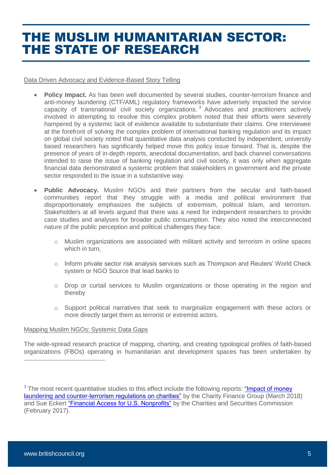Data Driven Advocacy and Evidence-Based Story Telling

- **Policy Impact.** As has been well documented by several studies, counter-terrorism finance and anti-money laundering (CTF/AML) regulatory frameworks have adversely impacted the service capacity of transnational civil society organizations. <sup>3</sup> Advocates and practitioners actively involved in attempting to resolve this complex problem noted that their efforts were severely hampered by a systemic lack of evidence available to substantiate their claims. One interviewee at the forefront of solving the complex problem of international banking regulation and its impact on global civil society noted that quantitative data analysis conducted by independent, university based researchers has significantly helped move this policy issue forward. That is, despite the presence of years of in-depth reports, anecdotal documentation, and back channel conversations intended to raise the issue of banking regulation and civil society, it was only when aggregate financial data demonstrated a systemic problem that stakeholders in government and the private sector responded to the issue in a substantive way.
- **Public Advocacy.** Muslim NGOs and their partners from the secular and faith-based communities report that they struggle with a media and political environment that disproportionately emphasizes the subjects of extremism, political Islam, and terrorism. Stakeholders at all levels argued that there was a need for independent researchers to provide case studies and analyses for broader public consumption. They also noted the interconnected nature of the public perception and political challenges they face:
	- o Muslim organizations are associated with militant activity and terrorism in online spaces which in turn,
	- $\circ$  Inform private sector risk analysis services such as Thompson and Reuters' World Check system or NGO Source that lead banks to
	- o Drop or curtail services to Muslim organizations or those operating in the region and thereby
	- o Support political narratives that seek to marginalize engagement with these actors or more directly target them as terrorist or extremist actors.

#### Mapping Muslim NGOs: Systemic Data Gaps

The wide-spread research practice of mapping, charting, and creating typological profiles of faith-based organizations (FBOs) operating in humanitarian and development spaces has been undertaken by

<sup>3</sup> The most recent quantitative studies to this effect include the following reports: "Impact of money" [laundering and counter-terrorism regulations on charities"](http://www.cfg.org.uk/resources/Publications/~/media/Files/Resources/Briefings/Impact%20of%20money%20laundering%20and%20counter-terrorism%20regulations%20on%20charities.pdf) by the Charity Finance Group (March 2018) and Sue Eckert ["Financial Access for U.S. Nonprofits"](https://www.charityandsecurity.org/resources/CSN_Publications) by the Charities and Securities Commission (February 2017).

 $\overline{a}$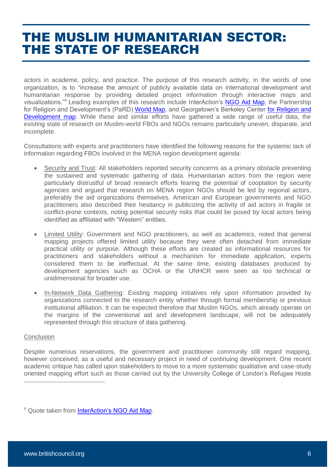actors in academe, policy, and practice. The purpose of this research activity, in the words of one organization, is to "increase the amount of publicly available data on international development and humanitarian response by providing detailed project information through interactive maps and visualizations."<sup>4</sup> Leading examples of this research include InterAction's [NGO Aid Map,](https://www.ngoaidmap.org/) the Partnership for Religion and Development's (PaRD) [World Map,](http://www.partner-religion-development.org/) and Georgetown's Berkeley Center for Religion and [Development map.](https://berkleycenter.georgetown.edu/projects/religion-and-development-country-level-mapping) While these and similar efforts have gathered a wide range of useful data, the existing state of research on Muslim-world FBOs and NGOs remains particularly uneven, disparate, and incomplete.

Consultations with experts and practitioners have identified the following reasons for the systemic lack of information regarding FBOs involved in the MENA region development agenda:

- Security and Trust: All stakeholders reported security concerns as a primary obstacle preventing the sustained and systematic gathering of data. Humanitarian actors from the region were particularly distrustful of broad research efforts fearing the potential of cooptation by security agencies and argued that research on MENA region NGOs should be led by regional actors, preferably the aid organizations themselves. American and European governments and NGO practitioners also described their hesitancy in publicizing the activity of aid actors in fragile or conflict-prone contexts, noting potential security risks that could be posed by local actors being identified as affiliated with "Western" entities.
- Limited Utility: Government and NGO practitioners, as well as academics, noted that general mapping projects offered limited utility because they were often detached from immediate practical utility or purpose. Although these efforts are created as informational resources for practitioners and stakeholders without a mechanism for immediate application, experts considered them to be ineffectual. At the same time, existing databases produced by development agencies such as OCHA or the UNHCR were seen as too technical or unidimensional for broader use.
- In-Network Data Gathering: Existing mapping initiatives rely upon information provided by organizations connected to the research entity whether through formal membership or previous institutional affiliation. It can be expected therefore that Muslim NGOs, which already operate on the margins of the conventional aid and development landscape, will not be adequately represented through this structure of data gathering.

#### **Conclusion**

 $\overline{a}$ 

Despite numerous reservations, the government and practitioner community still regard mapping, however conceived, as a useful and necessary project in need of continuing development. One recent academic critique has called upon stakeholders to move to a more systematic qualitative and case-study oriented mapping effort such as those carried out by the University College of London's Refugee Hosts

<sup>&</sup>lt;sup>4</sup> Quote taken from [InterAction's NGO Aid Map.](https://www.ngoaidmap.org/p/about)